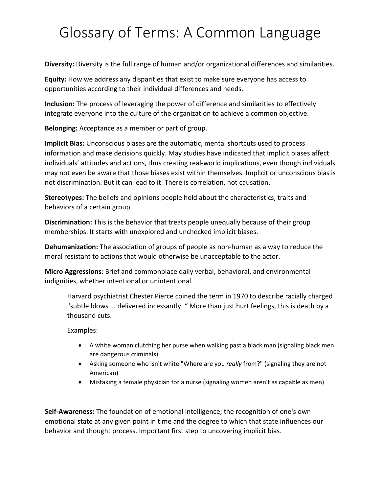## Glossary of Terms: A Common Language

**Diversity:** Diversity is the full range of human and/or organizational differences and similarities.

**Equity:** How we address any disparities that exist to make sure everyone has access to opportunities according to their individual differences and needs.

**Inclusion:** The process of leveraging the power of difference and similarities to effectively integrate everyone into the culture of the organization to achieve a common objective.

**Belonging:** Acceptance as a member or part of group.

**Implicit Bias:** Unconscious biases are the automatic, mental shortcuts used to process information and make decisions quickly. May studies have indicated that implicit biases affect individuals' attitudes and actions, thus creating real-world implications, even though individuals may not even be aware that those biases exist within themselves. Implicit or unconscious bias is not discrimination. But it can lead to it. There is correlation, not causation.

**Stereotypes:** The beliefs and opinions people hold about the characteristics, traits and behaviors of a certain group.

**Discrimination:** This is the behavior that treats people unequally because of their group memberships. It starts with unexplored and unchecked implicit biases.

**Dehumanization:** The association of groups of people as non-human as a way to reduce the moral resistant to actions that would otherwise be unacceptable to the actor.

**Micro Aggressions**: Brief and commonplace daily verbal, behavioral, and environmental indignities, whether intentional or unintentional.

Harvard psychiatrist Chester Pierce coined the term in 1970 to describe racially charged "subtle blows ... delivered incessantly. " More than just hurt feelings, this is death by a thousand cuts.

Examples:

- A white woman clutching her purse when walking past a black man (signaling black men are dangerous criminals)
- Asking someone who isn't white "Where are you *really* from?" (signaling they are not American)
- Mistaking a female physician for a nurse (signaling women aren't as capable as men)

**Self-Awareness:** The foundation of emotional intelligence; the recognition of one's own emotional state at any given point in time and the degree to which that state influences our behavior and thought process. Important first step to uncovering implicit bias.